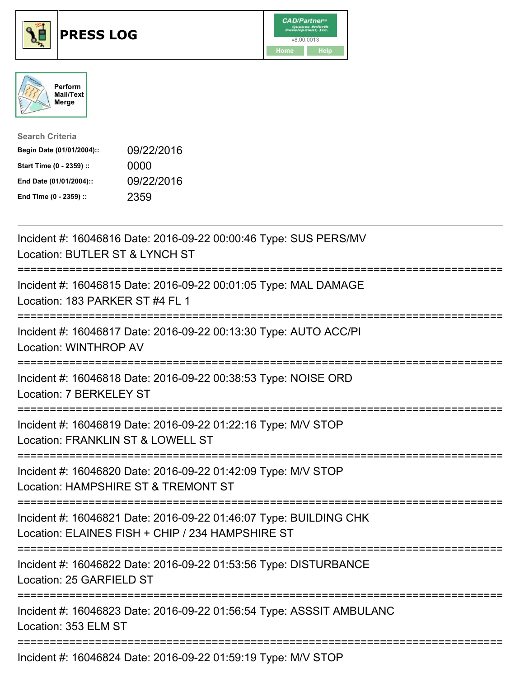





| <b>Search Criteria</b>    |            |
|---------------------------|------------|
| Begin Date (01/01/2004):: | 09/22/2016 |
| Start Time (0 - 2359) ::  | 0000       |
| End Date (01/01/2004)::   | 09/22/2016 |
| End Time (0 - 2359) ::    | 2359       |

| Incident #: 16046816 Date: 2016-09-22 00:00:46 Type: SUS PERS/MV<br>Location: BUTLER ST & LYNCH ST                                                        |
|-----------------------------------------------------------------------------------------------------------------------------------------------------------|
| Incident #: 16046815 Date: 2016-09-22 00:01:05 Type: MAL DAMAGE<br>Location: 183 PARKER ST #4 FL 1                                                        |
| Incident #: 16046817 Date: 2016-09-22 00:13:30 Type: AUTO ACC/PI<br>Location: WINTHROP AV                                                                 |
| Incident #: 16046818 Date: 2016-09-22 00:38:53 Type: NOISE ORD<br>Location: 7 BERKELEY ST                                                                 |
| Incident #: 16046819 Date: 2016-09-22 01:22:16 Type: M/V STOP<br>Location: FRANKLIN ST & LOWELL ST                                                        |
| Incident #: 16046820 Date: 2016-09-22 01:42:09 Type: M/V STOP<br>Location: HAMPSHIRE ST & TREMONT ST                                                      |
| Incident #: 16046821 Date: 2016-09-22 01:46:07 Type: BUILDING CHK<br>Location: ELAINES FISH + CHIP / 234 HAMPSHIRE ST<br>-------------------------------- |
| Incident #: 16046822 Date: 2016-09-22 01:53:56 Type: DISTURBANCE<br>Location: 25 GARFIELD ST<br>================                                          |
| Incident #: 16046823 Date: 2016-09-22 01:56:54 Type: ASSSIT AMBULANC<br>Location: 353 ELM ST                                                              |
| Incident #: 16046824 Date: 2016-09-22 01:59:19 Type: M/V STOP                                                                                             |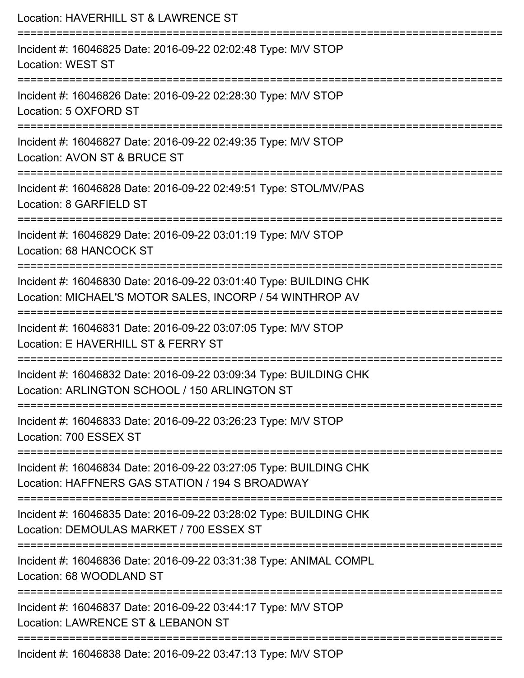| Location: HAVERHILL ST & LAWRENCE ST                                                                                          |
|-------------------------------------------------------------------------------------------------------------------------------|
| Incident #: 16046825 Date: 2016-09-22 02:02:48 Type: M/V STOP<br><b>Location: WEST ST</b>                                     |
| Incident #: 16046826 Date: 2016-09-22 02:28:30 Type: M/V STOP<br>Location: 5 OXFORD ST                                        |
| Incident #: 16046827 Date: 2016-09-22 02:49:35 Type: M/V STOP<br>Location: AVON ST & BRUCE ST                                 |
| Incident #: 16046828 Date: 2016-09-22 02:49:51 Type: STOL/MV/PAS<br>Location: 8 GARFIELD ST                                   |
| Incident #: 16046829 Date: 2016-09-22 03:01:19 Type: M/V STOP<br>Location: 68 HANCOCK ST                                      |
| Incident #: 16046830 Date: 2016-09-22 03:01:40 Type: BUILDING CHK<br>Location: MICHAEL'S MOTOR SALES, INCORP / 54 WINTHROP AV |
| Incident #: 16046831 Date: 2016-09-22 03:07:05 Type: M/V STOP<br>Location: E HAVERHILL ST & FERRY ST                          |
| Incident #: 16046832 Date: 2016-09-22 03:09:34 Type: BUILDING CHK<br>Location: ARLINGTON SCHOOL / 150 ARLINGTON ST            |
| Incident #: 16046833 Date: 2016-09-22 03:26:23 Type: M/V STOP<br>Location: 700 ESSEX ST                                       |
| Incident #: 16046834 Date: 2016-09-22 03:27:05 Type: BUILDING CHK<br>Location: HAFFNERS GAS STATION / 194 S BROADWAY          |
| Incident #: 16046835 Date: 2016-09-22 03:28:02 Type: BUILDING CHK<br>Location: DEMOULAS MARKET / 700 ESSEX ST                 |
| Incident #: 16046836 Date: 2016-09-22 03:31:38 Type: ANIMAL COMPL<br>Location: 68 WOODLAND ST                                 |
| Incident #: 16046837 Date: 2016-09-22 03:44:17 Type: M/V STOP<br>Location: LAWRENCE ST & LEBANON ST                           |
| Incident #: 16046838 Date: 2016-09-22 03:47:13 Type: M/V STOP                                                                 |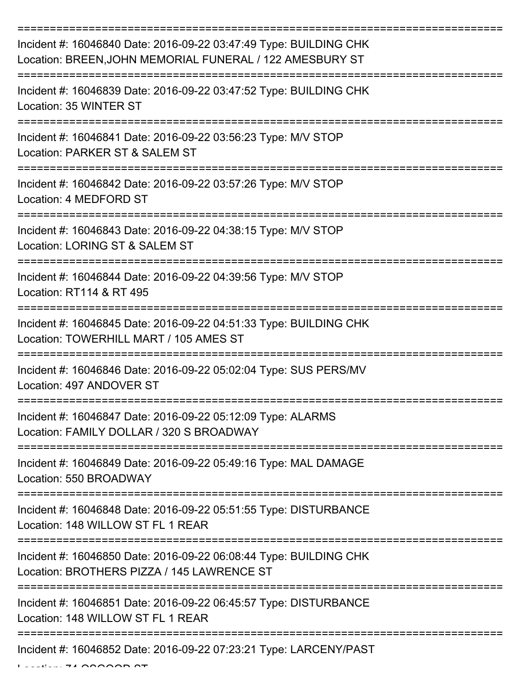| Incident #: 16046840 Date: 2016-09-22 03:47:49 Type: BUILDING CHK<br>Location: BREEN, JOHN MEMORIAL FUNERAL / 122 AMESBURY ST |
|-------------------------------------------------------------------------------------------------------------------------------|
| Incident #: 16046839 Date: 2016-09-22 03:47:52 Type: BUILDING CHK<br>Location: 35 WINTER ST                                   |
| Incident #: 16046841 Date: 2016-09-22 03:56:23 Type: M/V STOP<br>Location: PARKER ST & SALEM ST                               |
| Incident #: 16046842 Date: 2016-09-22 03:57:26 Type: M/V STOP<br>Location: 4 MEDFORD ST                                       |
| Incident #: 16046843 Date: 2016-09-22 04:38:15 Type: M/V STOP<br>Location: LORING ST & SALEM ST                               |
| Incident #: 16046844 Date: 2016-09-22 04:39:56 Type: M/V STOP<br>Location: RT114 & RT 495                                     |
| Incident #: 16046845 Date: 2016-09-22 04:51:33 Type: BUILDING CHK<br>Location: TOWERHILL MART / 105 AMES ST                   |
| Incident #: 16046846 Date: 2016-09-22 05:02:04 Type: SUS PERS/MV<br>Location: 497 ANDOVER ST                                  |
| Incident #: 16046847 Date: 2016-09-22 05:12:09 Type: ALARMS<br>Location: FAMILY DOLLAR / 320 S BROADWAY                       |
| Incident #: 16046849 Date: 2016-09-22 05:49:16 Type: MAL DAMAGE<br>Location: 550 BROADWAY                                     |
| Incident #: 16046848 Date: 2016-09-22 05:51:55 Type: DISTURBANCE<br>Location: 148 WILLOW ST FL 1 REAR                         |
| Incident #: 16046850 Date: 2016-09-22 06:08:44 Type: BUILDING CHK<br>Location: BROTHERS PIZZA / 145 LAWRENCE ST               |
| Incident #: 16046851 Date: 2016-09-22 06:45:57 Type: DISTURBANCE<br>Location: 148 WILLOW ST FL 1 REAR                         |
| Incident #: 16046852 Date: 2016-09-22 07:23:21 Type: LARCENY/PAST                                                             |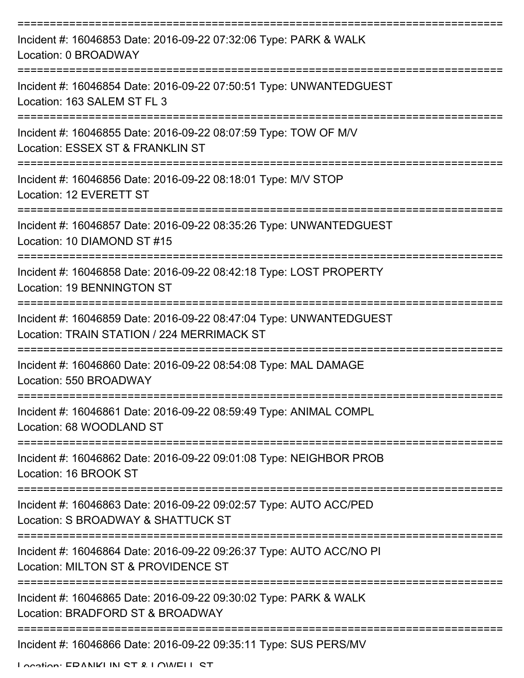| Incident #: 16046853 Date: 2016-09-22 07:32:06 Type: PARK & WALK<br>Location: 0 BROADWAY                         |
|------------------------------------------------------------------------------------------------------------------|
| Incident #: 16046854 Date: 2016-09-22 07:50:51 Type: UNWANTEDGUEST<br>Location: 163 SALEM ST FL 3                |
| Incident #: 16046855 Date: 2016-09-22 08:07:59 Type: TOW OF M/V<br>Location: ESSEX ST & FRANKLIN ST              |
| Incident #: 16046856 Date: 2016-09-22 08:18:01 Type: M/V STOP<br>Location: 12 EVERETT ST                         |
| Incident #: 16046857 Date: 2016-09-22 08:35:26 Type: UNWANTEDGUEST<br>Location: 10 DIAMOND ST #15                |
| Incident #: 16046858 Date: 2016-09-22 08:42:18 Type: LOST PROPERTY<br>Location: 19 BENNINGTON ST                 |
| Incident #: 16046859 Date: 2016-09-22 08:47:04 Type: UNWANTEDGUEST<br>Location: TRAIN STATION / 224 MERRIMACK ST |
| Incident #: 16046860 Date: 2016-09-22 08:54:08 Type: MAL DAMAGE<br>Location: 550 BROADWAY                        |
| Incident #: 16046861 Date: 2016-09-22 08:59:49 Type: ANIMAL COMPL<br>Location: 68 WOODLAND ST                    |
| Incident #: 16046862 Date: 2016-09-22 09:01:08 Type: NEIGHBOR PROB<br>Location: 16 BROOK ST                      |
| Incident #: 16046863 Date: 2016-09-22 09:02:57 Type: AUTO ACC/PED<br>Location: S BROADWAY & SHATTUCK ST          |
| Incident #: 16046864 Date: 2016-09-22 09:26:37 Type: AUTO ACC/NO PI<br>Location: MILTON ST & PROVIDENCE ST       |
| Incident #: 16046865 Date: 2016-09-22 09:30:02 Type: PARK & WALK<br>Location: BRADFORD ST & BROADWAY             |
| Incident #: 16046866 Date: 2016-09-22 09:35:11 Type: SUS PERS/MV                                                 |

Location: EDANIKI IN CT & LOWELL CT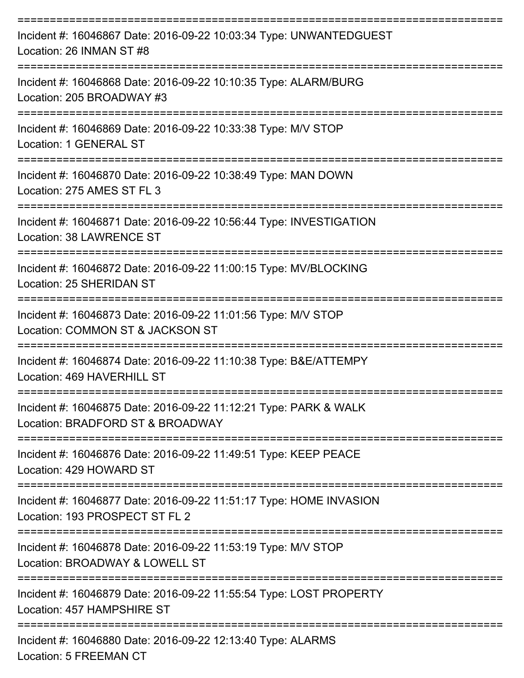| Incident #: 16046867 Date: 2016-09-22 10:03:34 Type: UNWANTEDGUEST<br>Location: 26 INMAN ST #8                                   |
|----------------------------------------------------------------------------------------------------------------------------------|
| Incident #: 16046868 Date: 2016-09-22 10:10:35 Type: ALARM/BURG<br>Location: 205 BROADWAY #3                                     |
| Incident #: 16046869 Date: 2016-09-22 10:33:38 Type: M/V STOP<br>Location: 1 GENERAL ST                                          |
| =================================<br>Incident #: 16046870 Date: 2016-09-22 10:38:49 Type: MAN DOWN<br>Location: 275 AMES ST FL 3 |
| Incident #: 16046871 Date: 2016-09-22 10:56:44 Type: INVESTIGATION<br>Location: 38 LAWRENCE ST                                   |
| Incident #: 16046872 Date: 2016-09-22 11:00:15 Type: MV/BLOCKING<br>Location: 25 SHERIDAN ST                                     |
| Incident #: 16046873 Date: 2016-09-22 11:01:56 Type: M/V STOP<br>Location: COMMON ST & JACKSON ST                                |
| Incident #: 16046874 Date: 2016-09-22 11:10:38 Type: B&E/ATTEMPY<br>Location: 469 HAVERHILL ST                                   |
| Incident #: 16046875 Date: 2016-09-22 11:12:21 Type: PARK & WALK<br>Location: BRADFORD ST & BROADWAY                             |
| Incident #: 16046876 Date: 2016-09-22 11:49:51 Type: KEEP PEACE<br>Location: 429 HOWARD ST                                       |
| Incident #: 16046877 Date: 2016-09-22 11:51:17 Type: HOME INVASION<br>Location: 193 PROSPECT ST FL 2                             |
| Incident #: 16046878 Date: 2016-09-22 11:53:19 Type: M/V STOP<br>Location: BROADWAY & LOWELL ST                                  |
| Incident #: 16046879 Date: 2016-09-22 11:55:54 Type: LOST PROPERTY<br>Location: 457 HAMPSHIRE ST                                 |
| Incident #: 16046880 Date: 2016-09-22 12:13:40 Type: ALARMS                                                                      |

Location: 5 FREEMAN CT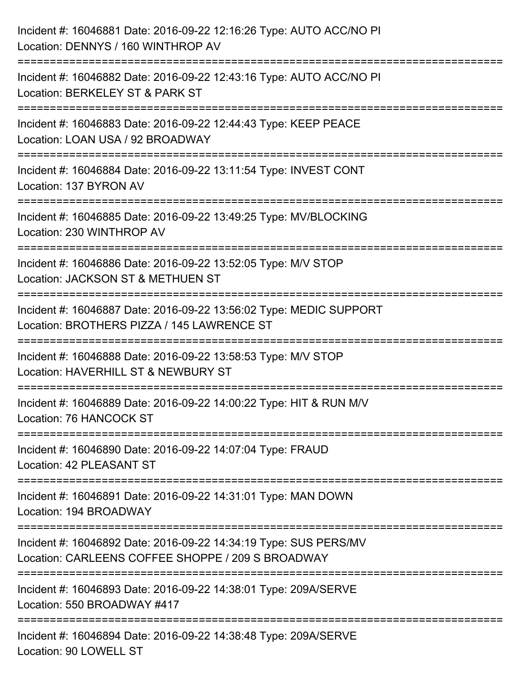| Incident #: 16046881 Date: 2016-09-22 12:16:26 Type: AUTO ACC/NO PI<br>Location: DENNYS / 160 WINTHROP AV                                               |
|---------------------------------------------------------------------------------------------------------------------------------------------------------|
| :=====================<br>Incident #: 16046882 Date: 2016-09-22 12:43:16 Type: AUTO ACC/NO PI<br>Location: BERKELEY ST & PARK ST                        |
| Incident #: 16046883 Date: 2016-09-22 12:44:43 Type: KEEP PEACE<br>Location: LOAN USA / 92 BROADWAY<br>===================                              |
| Incident #: 16046884 Date: 2016-09-22 13:11:54 Type: INVEST CONT<br>Location: 137 BYRON AV                                                              |
| Incident #: 16046885 Date: 2016-09-22 13:49:25 Type: MV/BLOCKING<br>Location: 230 WINTHROP AV<br>=================================<br>================= |
| Incident #: 16046886 Date: 2016-09-22 13:52:05 Type: M/V STOP<br>Location: JACKSON ST & METHUEN ST                                                      |
| Incident #: 16046887 Date: 2016-09-22 13:56:02 Type: MEDIC SUPPORT<br>Location: BROTHERS PIZZA / 145 LAWRENCE ST<br>--------------                      |
| Incident #: 16046888 Date: 2016-09-22 13:58:53 Type: M/V STOP<br>Location: HAVERHILL ST & NEWBURY ST                                                    |
| Incident #: 16046889 Date: 2016-09-22 14:00:22 Type: HIT & RUN M/V<br>Location: 76 HANCOCK ST                                                           |
| Incident #: 16046890 Date: 2016-09-22 14:07:04 Type: FRAUD<br>Location: 42 PLEASANT ST                                                                  |
| Incident #: 16046891 Date: 2016-09-22 14:31:01 Type: MAN DOWN<br>Location: 194 BROADWAY                                                                 |
| Incident #: 16046892 Date: 2016-09-22 14:34:19 Type: SUS PERS/MV<br>Location: CARLEENS COFFEE SHOPPE / 209 S BROADWAY                                   |
| Incident #: 16046893 Date: 2016-09-22 14:38:01 Type: 209A/SERVE<br>Location: 550 BROADWAY #417                                                          |
| Incident #: 16046894 Date: 2016-09-22 14:38:48 Type: 209A/SERVE<br>Location: 90 LOWELL ST                                                               |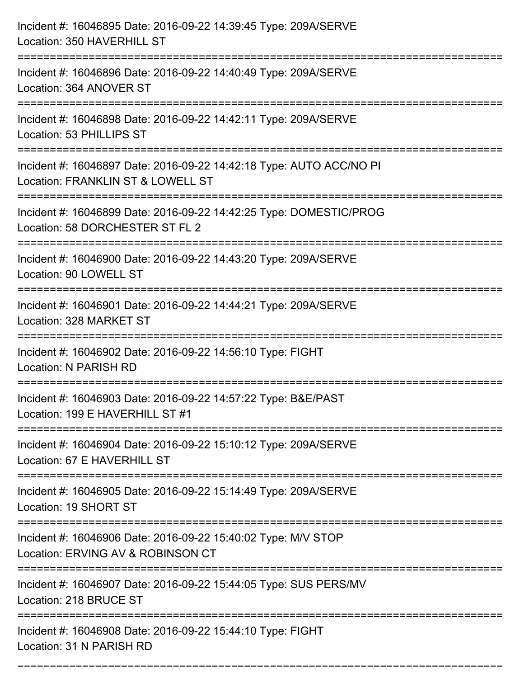| Incident #: 16046895 Date: 2016-09-22 14:39:45 Type: 209A/SERVE<br>Location: 350 HAVERHILL ST                                   |
|---------------------------------------------------------------------------------------------------------------------------------|
| Incident #: 16046896 Date: 2016-09-22 14:40:49 Type: 209A/SERVE<br>Location: 364 ANOVER ST                                      |
| Incident #: 16046898 Date: 2016-09-22 14:42:11 Type: 209A/SERVE<br>Location: 53 PHILLIPS ST                                     |
| Incident #: 16046897 Date: 2016-09-22 14:42:18 Type: AUTO ACC/NO PI<br>Location: FRANKLIN ST & LOWELL ST                        |
| Incident #: 16046899 Date: 2016-09-22 14:42:25 Type: DOMESTIC/PROG<br>Location: 58 DORCHESTER ST FL 2<br>:===================== |
| Incident #: 16046900 Date: 2016-09-22 14:43:20 Type: 209A/SERVE<br>Location: 90 LOWELL ST                                       |
| Incident #: 16046901 Date: 2016-09-22 14:44:21 Type: 209A/SERVE<br>Location: 328 MARKET ST                                      |
| Incident #: 16046902 Date: 2016-09-22 14:56:10 Type: FIGHT<br>Location: N PARISH RD                                             |
| Incident #: 16046903 Date: 2016-09-22 14:57:22 Type: B&E/PAST<br>Location: 199 E HAVERHILL ST #1                                |
| Incident #: 16046904 Date: 2016-09-22 15:10:12 Type: 209A/SERVE<br>Location: 67 E HAVERHILL ST                                  |
| Incident #: 16046905 Date: 2016-09-22 15:14:49 Type: 209A/SERVE<br>Location: 19 SHORT ST                                        |
| Incident #: 16046906 Date: 2016-09-22 15:40:02 Type: M/V STOP<br>Location: ERVING AV & ROBINSON CT                              |
| Incident #: 16046907 Date: 2016-09-22 15:44:05 Type: SUS PERS/MV<br>Location: 218 BRUCE ST                                      |
| Incident #: 16046908 Date: 2016-09-22 15:44:10 Type: FIGHT<br>Location: 31 N PARISH RD                                          |

===========================================================================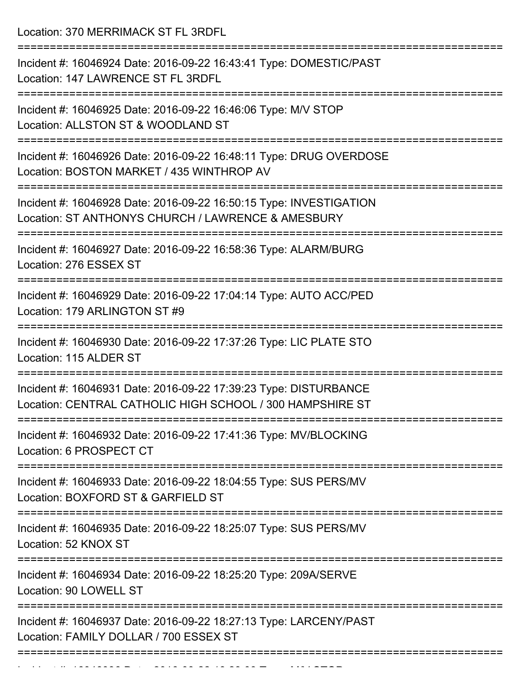Location: 370 MERRIMACK ST FL 3RDFL

=========================================================================== Incident #: 16046924 Date: 2016-09-22 16:43:41 Type: DOMESTIC/PAST Location: 147 LAWRENCE ST FL 3RDFL =========================================================================== Incident #: 16046925 Date: 2016-09-22 16:46:06 Type: M/V STOP Location: ALLSTON ST & WOODLAND ST =========================================================================== Incident #: 16046926 Date: 2016-09-22 16:48:11 Type: DRUG OVERDOSE Location: BOSTON MARKET / 435 WINTHROP AV =========================================================================== Incident #: 16046928 Date: 2016-09-22 16:50:15 Type: INVESTIGATION Location: ST ANTHONYS CHURCH / LAWRENCE & AMESBURY =========================================================================== Incident #: 16046927 Date: 2016-09-22 16:58:36 Type: ALARM/BURG Location: 276 ESSEX ST =========================================================================== Incident #: 16046929 Date: 2016-09-22 17:04:14 Type: AUTO ACC/PED Location: 179 ARLINGTON ST #9 =========================================================================== Incident #: 16046930 Date: 2016-09-22 17:37:26 Type: LIC PLATE STO Location: 115 ALDER ST =========================================================================== Incident #: 16046931 Date: 2016-09-22 17:39:23 Type: DISTURBANCE Location: CENTRAL CATHOLIC HIGH SCHOOL / 300 HAMPSHIRE ST =========================================================================== Incident #: 16046932 Date: 2016-09-22 17:41:36 Type: MV/BLOCKING Location: 6 PROSPECT CT =========================================================================== Incident #: 16046933 Date: 2016-09-22 18:04:55 Type: SUS PERS/MV Location: BOXFORD ST & GARFIELD ST =========================================================================== Incident #: 16046935 Date: 2016-09-22 18:25:07 Type: SUS PERS/MV Location: 52 KNOX ST =========================================================================== Incident #: 16046934 Date: 2016-09-22 18:25:20 Type: 209A/SERVE Location: 90 LOWELL ST =========================================================================== Incident #: 16046937 Date: 2016-09-22 18:27:13 Type: LARCENY/PAST Location: FAMILY DOLLAR / 700 ESSEX ST ===========================================================================

Incident #: 16046936 Date: 2016 09 22 18:28:03 Type: Microsoft.com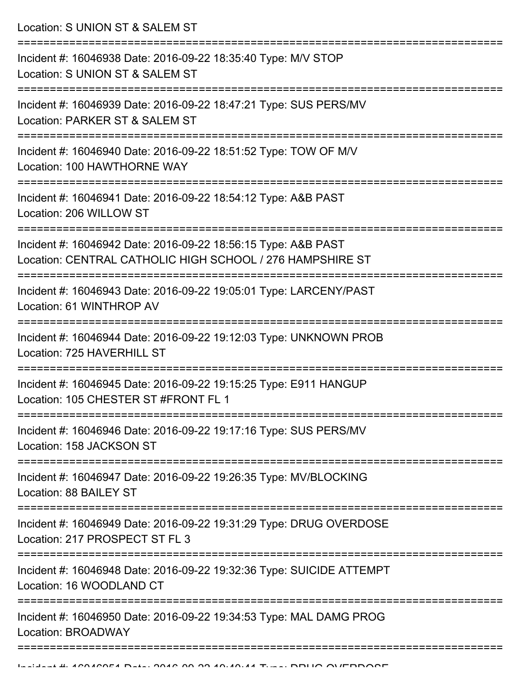Location: S UNION ST & SALEM ST

| Incident #: 16046938 Date: 2016-09-22 18:35:40 Type: M/V STOP<br>Location: S UNION ST & SALEM ST                           |
|----------------------------------------------------------------------------------------------------------------------------|
| Incident #: 16046939 Date: 2016-09-22 18:47:21 Type: SUS PERS/MV<br>Location: PARKER ST & SALEM ST                         |
| Incident #: 16046940 Date: 2016-09-22 18:51:52 Type: TOW OF M/V<br>Location: 100 HAWTHORNE WAY                             |
| Incident #: 16046941 Date: 2016-09-22 18:54:12 Type: A&B PAST<br>Location: 206 WILLOW ST                                   |
| Incident #: 16046942 Date: 2016-09-22 18:56:15 Type: A&B PAST<br>Location: CENTRAL CATHOLIC HIGH SCHOOL / 276 HAMPSHIRE ST |
| Incident #: 16046943 Date: 2016-09-22 19:05:01 Type: LARCENY/PAST<br>Location: 61 WINTHROP AV                              |
| Incident #: 16046944 Date: 2016-09-22 19:12:03 Type: UNKNOWN PROB<br>Location: 725 HAVERHILL ST                            |
| Incident #: 16046945 Date: 2016-09-22 19:15:25 Type: E911 HANGUP<br>Location: 105 CHESTER ST #FRONT FL 1                   |
| Incident #: 16046946 Date: 2016-09-22 19:17:16 Type: SUS PERS/MV<br>Location: 158 JACKSON ST                               |
| Incident #: 16046947 Date: 2016-09-22 19:26:35 Type: MV/BLOCKING<br>Location: 88 BAILEY ST                                 |
| Incident #: 16046949 Date: 2016-09-22 19:31:29 Type: DRUG OVERDOSE<br>Location: 217 PROSPECT ST FL 3                       |
| Incident #: 16046948 Date: 2016-09-22 19:32:36 Type: SUICIDE ATTEMPT<br>Location: 16 WOODLAND CT                           |
| Incident #: 16046950 Date: 2016-09-22 19:34:53 Type: MAL DAMG PROG<br>Location: BROADWAY                                   |
|                                                                                                                            |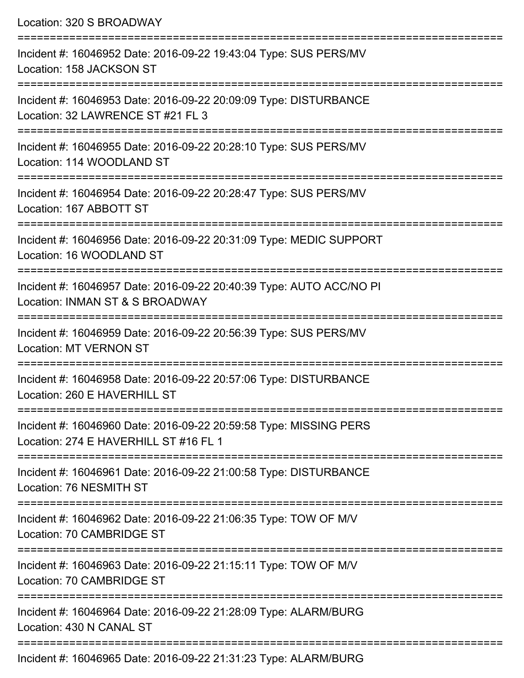| Location: 320 S BROADWAY                                                                                                          |
|-----------------------------------------------------------------------------------------------------------------------------------|
| Incident #: 16046952 Date: 2016-09-22 19:43:04 Type: SUS PERS/MV<br>Location: 158 JACKSON ST                                      |
| Incident #: 16046953 Date: 2016-09-22 20:09:09 Type: DISTURBANCE<br>Location: 32 LAWRENCE ST #21 FL 3<br>======================== |
| Incident #: 16046955 Date: 2016-09-22 20:28:10 Type: SUS PERS/MV<br>Location: 114 WOODLAND ST                                     |
| Incident #: 16046954 Date: 2016-09-22 20:28:47 Type: SUS PERS/MV<br>Location: 167 ABBOTT ST                                       |
| Incident #: 16046956 Date: 2016-09-22 20:31:09 Type: MEDIC SUPPORT<br>Location: 16 WOODLAND ST                                    |
| Incident #: 16046957 Date: 2016-09-22 20:40:39 Type: AUTO ACC/NO PI<br>Location: INMAN ST & S BROADWAY                            |
| Incident #: 16046959 Date: 2016-09-22 20:56:39 Type: SUS PERS/MV<br><b>Location: MT VERNON ST</b>                                 |
| Incident #: 16046958 Date: 2016-09-22 20:57:06 Type: DISTURBANCE<br>Location: 260 E HAVERHILL ST                                  |
| Incident #: 16046960 Date: 2016-09-22 20:59:58 Type: MISSING PERS<br>Location: 274 E HAVERHILL ST #16 FL 1                        |
| Incident #: 16046961 Date: 2016-09-22 21:00:58 Type: DISTURBANCE<br>Location: 76 NESMITH ST                                       |
| Incident #: 16046962 Date: 2016-09-22 21:06:35 Type: TOW OF M/V<br>Location: 70 CAMBRIDGE ST                                      |
| Incident #: 16046963 Date: 2016-09-22 21:15:11 Type: TOW OF M/V<br>Location: 70 CAMBRIDGE ST                                      |
| Incident #: 16046964 Date: 2016-09-22 21:28:09 Type: ALARM/BURG<br>Location: 430 N CANAL ST                                       |
|                                                                                                                                   |

Incident #: 16046965 Date: 2016-09-22 21:31:23 Type: ALARM/BURG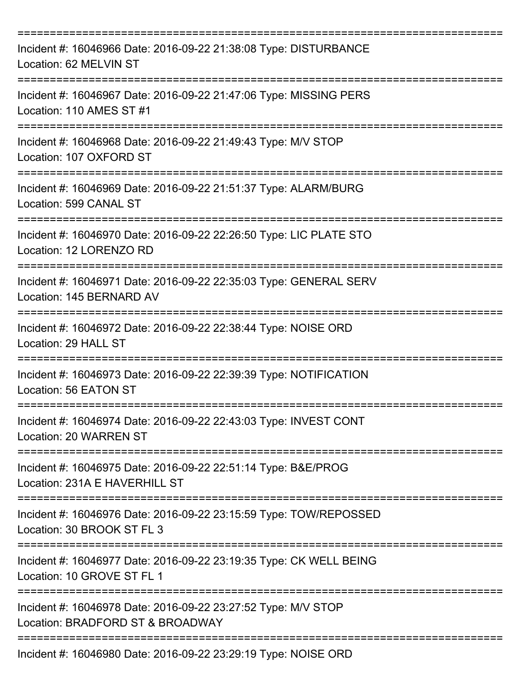| Incident #: 16046966 Date: 2016-09-22 21:38:08 Type: DISTURBANCE<br>Location: 62 MELVIN ST        |
|---------------------------------------------------------------------------------------------------|
| Incident #: 16046967 Date: 2016-09-22 21:47:06 Type: MISSING PERS<br>Location: 110 AMES ST #1     |
| Incident #: 16046968 Date: 2016-09-22 21:49:43 Type: M/V STOP<br>Location: 107 OXFORD ST          |
| Incident #: 16046969 Date: 2016-09-22 21:51:37 Type: ALARM/BURG<br>Location: 599 CANAL ST         |
| Incident #: 16046970 Date: 2016-09-22 22:26:50 Type: LIC PLATE STO<br>Location: 12 LORENZO RD     |
| Incident #: 16046971 Date: 2016-09-22 22:35:03 Type: GENERAL SERV<br>Location: 145 BERNARD AV     |
| Incident #: 16046972 Date: 2016-09-22 22:38:44 Type: NOISE ORD<br>Location: 29 HALL ST            |
| Incident #: 16046973 Date: 2016-09-22 22:39:39 Type: NOTIFICATION<br>Location: 56 EATON ST        |
| Incident #: 16046974 Date: 2016-09-22 22:43:03 Type: INVEST CONT<br>Location: 20 WARREN ST        |
| Incident #: 16046975 Date: 2016-09-22 22:51:14 Type: B&E/PROG<br>Location: 231A E HAVERHILL ST    |
| Incident #: 16046976 Date: 2016-09-22 23:15:59 Type: TOW/REPOSSED<br>Location: 30 BROOK ST FL 3   |
| Incident #: 16046977 Date: 2016-09-22 23:19:35 Type: CK WELL BEING<br>Location: 10 GROVE ST FL 1  |
| Incident #: 16046978 Date: 2016-09-22 23:27:52 Type: M/V STOP<br>Location: BRADFORD ST & BROADWAY |
| Incident #: 16046980 Date: 2016-09-22 23:29:19 Type: NOISE ORD                                    |